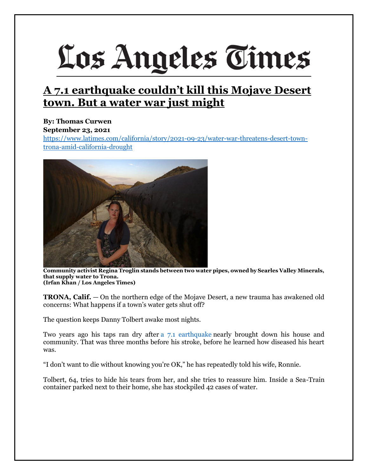# Los Angeles Times

## **A 7.1 earthquake couldn't kill this Mojave Desert town. But a water war just might**

### **By: Thomas Curwen September 23, 2021**

[https://www.latimes.com/california/story/2021-09-23/water-war-threatens-desert-town](https://www.latimes.com/california/story/2021-09-23/water-war-threatens-desert-town-trona-amid-california-drought)[trona-amid-california-drought](https://www.latimes.com/california/story/2021-09-23/water-war-threatens-desert-town-trona-amid-california-drought)



**Community activist Regina Troglin stands between two water pipes, owned by Searles Valley Minerals, that supply water to Trona. (Irfan Khan / Los Angeles Times)**

**TRONA, Calif.** — On the northern edge of the Mojave Desert, a new trauma has awakened old concerns: What happens if a town's water gets shut off?

The question keeps Danny Tolbert awake most nights.

Two years ago his taps ran dry after [a 7.1 earthquake](https://www.latimes.com/local/lanow/la-me-earthquake-trona-families-20190706-story.html) nearly brought down his house and community. That was three months before his stroke, before he learned how diseased his heart was.

"I don't want to die without knowing you're OK," he has repeatedly told his wife, Ronnie.

Tolbert, 64, tries to hide his tears from her, and she tries to reassure him. Inside a Sea-Train container parked next to their home, she has stockpiled 42 cases of water.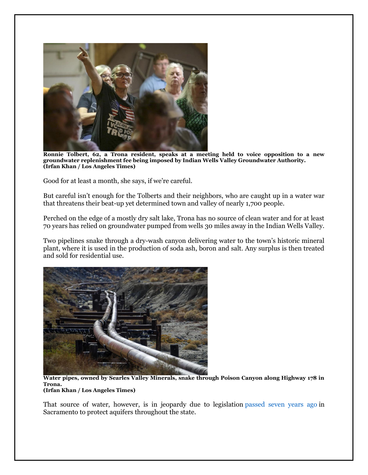

**Ronnie Tolbert, 62, a Trona resident, speaks at a meeting held to voice opposition to a new groundwater replenishment fee being imposed by Indian Wells Valley Groundwater Authority. (Irfan Khan / Los Angeles Times)**

Good for at least a month, she says, if we're careful.

But careful isn't enough for the Tolberts and their neighbors, who are caught up in a water war that threatens their beat-up yet determined town and valley of nearly 1,700 people.

Perched on the edge of a mostly dry salt lake, Trona has no source of clean water and for at least 70 years has relied on groundwater pumped from wells 30 miles away in the Indian Wells Valley.

Two pipelines snake through a dry-wash canyon delivering water to the town's historic mineral plant, where it is used in the production of soda ash, boron and salt. Any surplus is then treated and sold for residential use.



**Water pipes, owned by Searles Valley Minerals, snake through Poison Canyon along Highway 178 in Trona. (Irfan Khan / Los Angeles Times)**

That source of water, however, is in jeopardy due to legislation [passed seven years ago](https://www.latimes.com/local/political/la-me-pc-groundwater-regulation-bills-20140916-story.html) in Sacramento to protect aquifers throughout the state.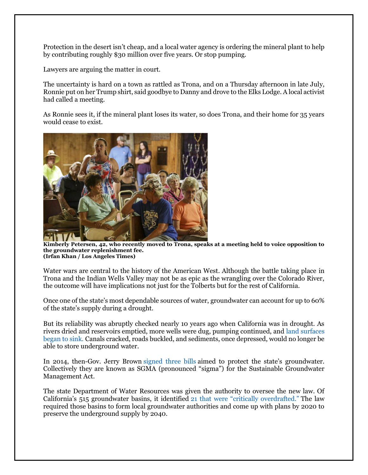Protection in the desert isn't cheap, and a local water agency is ordering the mineral plant to help by contributing roughly \$30 million over five years. Or stop pumping.

Lawyers are arguing the matter in court.

The uncertainty is hard on a town as rattled as Trona, and on a Thursday afternoon in late July, Ronnie put on her Trump shirt, said goodbye to Danny and drove to the Elks Lodge. A local activist had called a meeting.

As Ronnie sees it, if the mineral plant loses its water, so does Trona, and their home for 35 years would cease to exist.



**Kimberly Petersen, 42, who recently moved to Trona, speaks at a meeting held to voice opposition to the groundwater replenishment fee. (Irfan Khan / Los Angeles Times)**

Water wars are central to the history of the American West. Although the battle taking place in Trona and the Indian Wells Valley may not be as epic as the wrangling over the Colorado River, the outcome will have implications not just for the Tolberts but for the rest of California.

Once one of the state's most dependable sources of water, groundwater can account for up to 60% of the state's supply during a drought.

But its reliability was abruptly checked nearly 10 years ago when California was in drought. As rivers dried and reservoirs emptied, more wells were dug, pumping continued, and [land surfaces](https://www.latimes.com/local/lanow/la-me-ln-central-valley-subsidence-20170209-story.html)  [began to sink.](https://www.latimes.com/local/lanow/la-me-ln-central-valley-subsidence-20170209-story.html) Canals cracked, roads buckled, and sediments, once depressed, would no longer be able to store underground water.

In 2014, then-Gov. Jerry Brown [signed three bills](https://www.latimes.com/local/politics/la-me-pol-water-brown-20140917-story.html) aimed to protect the state's groundwater. Collectively they are known as SGMA (pronounced "sigma") for the Sustainable Groundwater Management Act.

The state Department of Water Resources was given the authority to oversee the new law. Of California's 515 groundwater basins, it identified [21 that were "critically overdrafted."](https://water.ca.gov/Programs/Groundwater-Management/Bulletin-118/Critically-Overdrafted-Basins) The law required those basins to form local groundwater authorities and come up with plans by 2020 to preserve the underground supply by 2040.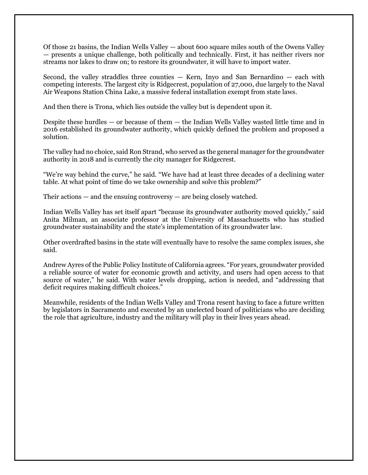Of those 21 basins, the Indian Wells Valley — about 600 square miles south of the Owens Valley — presents a unique challenge, both politically and technically. First, it has neither rivers nor streams nor lakes to draw on; to restore its groundwater, it will have to import water.

Second, the valley straddles three counties  $-$  Kern, Inyo and San Bernardino  $-$  each with competing interests. The largest city is Ridgecrest, population of 27,000, due largely to the Naval Air Weapons Station China Lake, a massive federal installation exempt from state laws.

And then there is Trona, which lies outside the valley but is dependent upon it.

Despite these hurdles — or because of them — the Indian Wells Valley wasted little time and in 2016 established its groundwater authority, which quickly defined the problem and proposed a solution.

The valley had no choice, said Ron Strand, who served as the general manager for the groundwater authority in 2018 and is currently the city manager for Ridgecrest.

"We're way behind the curve," he said. "We have had at least three decades of a declining water table. At what point of time do we take ownership and solve this problem?"

Their actions  $-$  and the ensuing controversy  $-$  are being closely watched.

Indian Wells Valley has set itself apart "because its groundwater authority moved quickly," said Anita Milman, an associate professor at the University of Massachusetts who has studied groundwater sustainability and the state's implementation of its groundwater law.

Other overdrafted basins in the state will eventually have to resolve the same complex issues, she said.

Andrew Ayres of the Public Policy Institute of California agrees. "For years, groundwater provided a reliable source of water for economic growth and activity, and users had open access to that source of water," he said. With water levels dropping, action is needed, and "addressing that deficit requires making difficult choices."

Meanwhile, residents of the Indian Wells Valley and Trona resent having to face a future written by legislators in Sacramento and executed by an unelected board of politicians who are deciding the role that agriculture, industry and the military will play in their lives years ahead.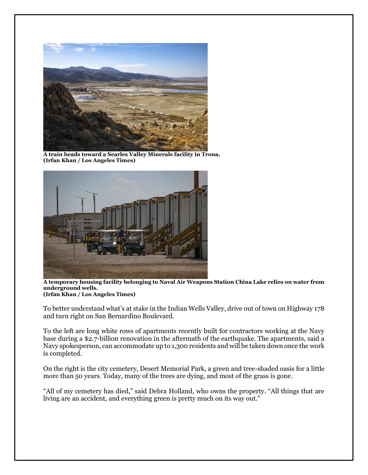

**A train heads toward a Searles Valley Minerals facility in Trona. (Irfan Khan / Los Angeles Times)**



**A temporary housing facility belonging to Naval Air Weapons Station China Lake relies on water from underground wells. (Irfan Khan / Los Angeles Times)**

To better understand what's at stake in the Indian Wells Valley, drive out of town on Highway 178 and turn right on San Bernardino Boulevard.

To the left are long white rows of apartments recently built for contractors working at the Navy base during a \$2.7-billion renovation in the aftermath of the earthquake. The apartments, said a Navy spokesperson, can accommodate up to 1,300 residents and will be taken down once the work is completed.

On the right is the city cemetery, Desert Memorial Park, a green and tree-shaded oasis for a little more than 50 years. Today, many of the trees are dying, and most of the grass is gone.

"All of my cemetery has died," said Debra Holland, who owns the property. "All things that are living are an accident, and everything green is pretty much on its way out."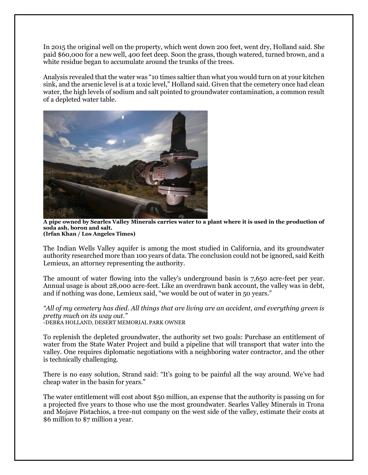In 2015 the original well on the property, which went down 200 feet, went dry, Holland said. She paid \$60,000 for a new well, 400 feet deep. Soon the grass, though watered, turned brown, and a white residue began to accumulate around the trunks of the trees.

Analysis revealed that the water was "10 times saltier than what you would turn on at your kitchen sink, and the arsenic level is at a toxic level," Holland said. Given that the cemetery once had clean water, the high levels of sodium and salt pointed to groundwater contamination, a common result of a depleted water table.



**A pipe owned by Searles Valley Minerals carries water to a plant where it is used in the production of soda ash, boron and salt. (Irfan Khan / Los Angeles Times)**

The Indian Wells Valley aquifer is among the most studied in California, and its groundwater authority researched more than 100 years of data. The conclusion could not be ignored, said Keith Lemieux, an attorney representing the authority.

The amount of water flowing into the valley's underground basin is 7,650 acre-feet per year. Annual usage is about 28,000 acre-feet. Like an overdrawn bank account, the valley was in debt, and if nothing was done, Lemieux said, "we would be out of water in 50 years."

*"All of my cemetery has died. All things that are living are an accident, and everything green is pretty much on its way out."* -DEBRA HOLLAND, DESERT MEMORIAL PARK OWNER

To replenish the depleted groundwater, the authority set two goals: Purchase an entitlement of water from the State Water Project and build a pipeline that will transport that water into the valley. One requires diplomatic negotiations with a neighboring water contractor, and the other is technically challenging.

There is no easy solution, Strand said: "It's going to be painful all the way around. We've had cheap water in the basin for years."

The water entitlement will cost about \$50 million, an expense that the authority is passing on for a projected five years to those who use the most groundwater. Searles Valley Minerals in Trona and Mojave Pistachios, a tree-nut company on the west side of the valley, estimate their costs at \$6 million to \$7 million a year.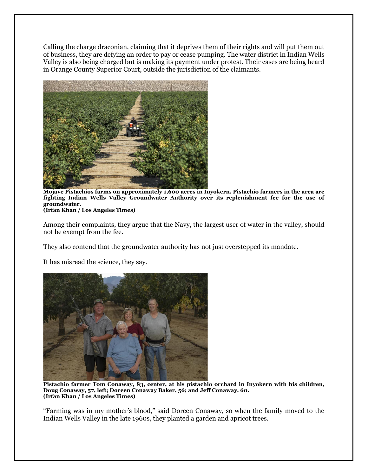Calling the charge draconian, claiming that it deprives them of their rights and will put them out of business, they are defying an order to pay or cease pumping. The water district in Indian Wells Valley is also being charged but is making its payment under protest. Their cases are being heard in Orange County Superior Court, outside the jurisdiction of the claimants.



**Mojave Pistachios farms on approximately 1,600 acres in Inyokern. Pistachio farmers in the area are fighting Indian Wells Valley Groundwater Authority over its replenishment fee for the use of groundwater. (Irfan Khan / Los Angeles Times)**

Among their complaints, they argue that the Navy, the largest user of water in the valley, should not be exempt from the fee.

They also contend that the groundwater authority has not just overstepped its mandate.

It has misread the science, they say.



**Pistachio farmer Tom Conaway, 83, center, at his pistachio orchard in Inyokern with his children, Doug Conaway, 57, left; Doreen Conaway Baker, 56; and Jeff Conaway, 60. (Irfan Khan / Los Angeles Times)**

"Farming was in my mother's blood," said Doreen Conaway, so when the family moved to the Indian Wells Valley in the late 1960s, they planted a garden and apricot trees.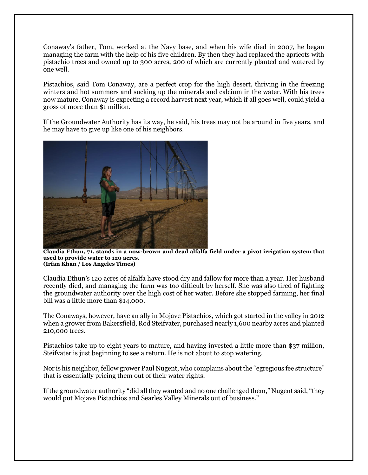Conaway's father, Tom, worked at the Navy base, and when his wife died in 2007, he began managing the farm with the help of his five children. By then they had replaced the apricots with pistachio trees and owned up to 300 acres, 200 of which are currently planted and watered by one well.

Pistachios, said Tom Conaway, are a perfect crop for the high desert, thriving in the freezing winters and hot summers and sucking up the minerals and calcium in the water. With his trees now mature, Conaway is expecting a record harvest next year, which if all goes well, could yield a gross of more than \$1 million.

If the Groundwater Authority has its way, he said, his trees may not be around in five years, and he may have to give up like one of his neighbors.



**Claudia Ethun, 71, stands in a now-brown and dead alfalfa field under a pivot irrigation system that used to provide water to 120 acres. (Irfan Khan / Los Angeles Times)**

Claudia Ethun's 120 acres of alfalfa have stood dry and fallow for more than a year. Her husband recently died, and managing the farm was too difficult by herself. She was also tired of fighting the groundwater authority over the high cost of her water. Before she stopped farming, her final bill was a little more than \$14,000.

The Conaways, however, have an ally in Mojave Pistachios, which got started in the valley in 2012 when a grower from Bakersfield, Rod Steifvater, purchased nearly 1,600 nearby acres and planted 210,000 trees.

Pistachios take up to eight years to mature, and having invested a little more than \$37 million, Steifvater is just beginning to see a return. He is not about to stop watering.

Nor is his neighbor, fellow grower Paul Nugent, who complains about the "egregious fee structure" that is essentially pricing them out of their water rights.

If the groundwater authority "did all they wanted and no one challenged them," Nugent said, "they would put Mojave Pistachios and Searles Valley Minerals out of business."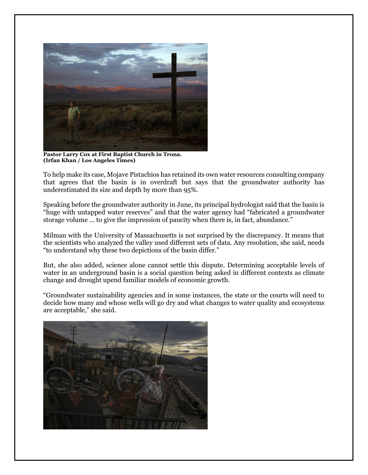

**Pastor Larry Cox at First Baptist Church in Trona. (Irfan Khan / Los Angeles Times)**

To help make its case, Mojave Pistachios has retained its own water resources consulting company that agrees that the basin is in overdraft but says that the groundwater authority has underestimated its size and depth by more than 95%.

Speaking before the groundwater authority in June, its principal hydrologist said that the basin is "huge with untapped water reserves" and that the water agency had "fabricated a groundwater storage volume … to give the impression of paucity when there is, in fact, abundance."

Milman with the University of Massachusetts is not surprised by the discrepancy. It means that the scientists who analyzed the valley used different sets of data. Any resolution, she said, needs "to understand why these two depictions of the basin differ."

But, she also added, science alone cannot settle this dispute. Determining acceptable levels of water in an underground basin is a social question being asked in different contexts as climate change and drought upend familiar models of economic growth.

"Groundwater sustainability agencies and in some instances, the state or the courts will need to decide how many and whose wells will go dry and what changes to water quality and ecosystems are acceptable," she said.

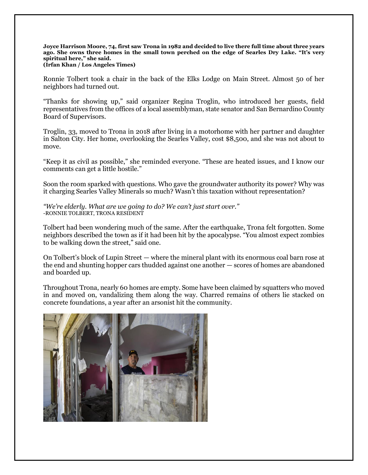#### **Joyce Harrison Moore, 74, first saw Trona in 1982 and decided to live there full time about three years ago. She owns three homes in the small town perched on the edge of Searles Dry Lake. "It's very spiritual here," she said. (Irfan Khan / Los Angeles Times)**

Ronnie Tolbert took a chair in the back of the Elks Lodge on Main Street. Almost 50 of her neighbors had turned out.

"Thanks for showing up," said organizer Regina Troglin, who introduced her guests, field representatives from the offices of a local assemblyman, state senator and San Bernardino County Board of Supervisors.

Troglin, 33, moved to Trona in 2018 after living in a motorhome with her partner and daughter in Salton City. Her home, overlooking the Searles Valley, cost \$8,500, and she was not about to move.

"Keep it as civil as possible," she reminded everyone. "These are heated issues, and I know our comments can get a little hostile."

Soon the room sparked with questions. Who gave the groundwater authority its power? Why was it charging Searles Valley Minerals so much? Wasn't this taxation without representation?

*"We're elderly. What are we going to do? We can't just start over."* -RONNIE TOLBERT, TRONA RESIDENT

Tolbert had been wondering much of the same. After the earthquake, Trona felt forgotten. Some neighbors described the town as if it had been hit by the apocalypse. "You almost expect zombies to be walking down the street," said one.

On Tolbert's block of Lupin Street — where the mineral plant with its enormous coal barn rose at the end and shunting hopper cars thudded against one another — scores of homes are abandoned and boarded up.

Throughout Trona, nearly 60 homes are empty. Some have been claimed by squatters who moved in and moved on, vandalizing them along the way. Charred remains of others lie stacked on concrete foundations, a year after an arsonist hit the community.